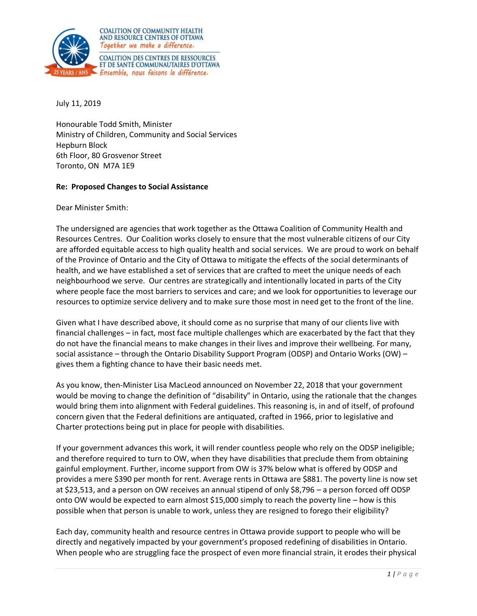

July 11, 2019

Honourable Todd Smith, Minister Ministry of Children, Community and Social Services Hepburn Block 6th Floor, 80 Grosvenor Street Toronto, ON M7A 1E9

## **Re: Proposed Changes to Social Assistance**

Dear Minister Smith:

The undersigned are agencies that work together as the Ottawa Coalition of Community Health and Resources Centres. Our Coalition works closely to ensure that the most vulnerable citizens of our City are afforded equitable access to high quality health and social services. We are proud to work on behalf of the Province of Ontario and the City of Ottawa to mitigate the effects of the social determinants of health, and we have established a set of services that are crafted to meet the unique needs of each neighbourhood we serve. Our centres are strategically and intentionally located in parts of the City where people face the most barriers to services and care; and we look for opportunities to leverage our resources to optimize service delivery and to make sure those most in need get to the front of the line.

Given what I have described above, it should come as no surprise that many of our clients live with financial challenges – in fact, most face multiple challenges which are exacerbated by the fact that they do not have the financial means to make changes in their lives and improve their wellbeing. For many, social assistance – through the Ontario Disability Support Program (ODSP) and Ontario Works (OW) – gives them a fighting chance to have their basic needs met.

As you know, then-Minister Lisa MacLeod announced on November 22, 2018 that your government would be moving to change the definition of "disability" in Ontario, using the rationale that the changes would bring them into alignment with Federal guidelines. This reasoning is, in and of itself, of profound concern given that the Federal definitions are antiquated, crafted in 1966, prior to legislative and Charter protections being put in place for people with disabilities.

If your government advances this work, it will render countless people who rely on the ODSP ineligible; and therefore required to turn to OW, when they have disabilities that preclude them from obtaining gainful employment. Further, income support from OW is 37% below what is offered by ODSP and provides a mere \$390 per month for rent. Average rents in Ottawa are \$881. The poverty line is now set at \$23,513, and a person on OW receives an annual stipend of only \$8,796 – a person forced off ODSP onto OW would be expected to earn almost \$15,000 simply to reach the poverty line – how is this possible when that person is unable to work, unless they are resigned to forego their eligibility?

Each day, community health and resource centres in Ottawa provide support to people who will be directly and negatively impacted by your government's proposed redefining of disabilities in Ontario. When people who are struggling face the prospect of even more financial strain, it erodes their physical